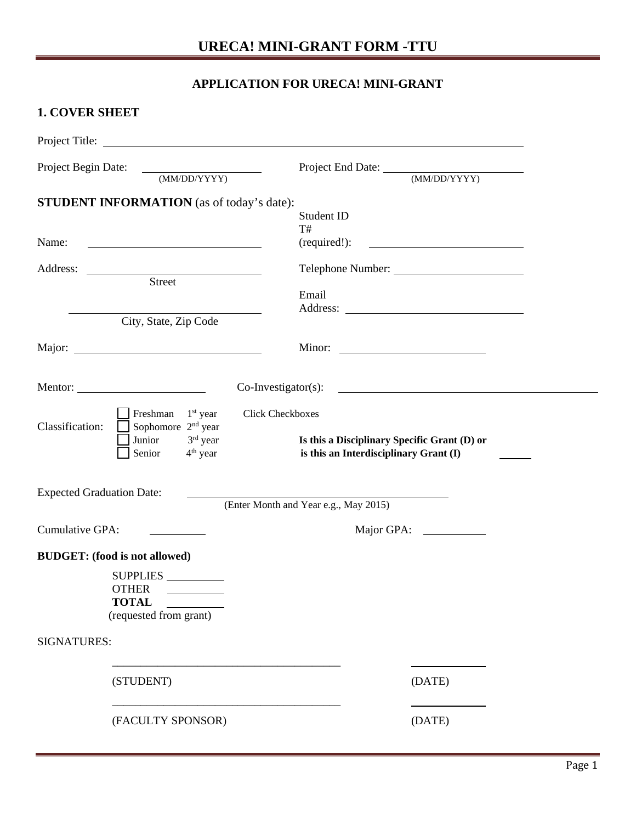## **URECA! MINI-GRANT FORM -TTU**

## **APPLICATION FOR URECA! MINI-GRANT**

## **1. COVER SHEET**

| Project Begin Date:<br>(MM/DD/YYYY)                                                                                                          | Project End Date: (MM/DD/YYYY)                                                                                  |
|----------------------------------------------------------------------------------------------------------------------------------------------|-----------------------------------------------------------------------------------------------------------------|
| <b>STUDENT INFORMATION</b> (as of today's date):                                                                                             |                                                                                                                 |
|                                                                                                                                              | Student ID                                                                                                      |
| Name:                                                                                                                                        | T#<br>(required!):<br><u> 1989 - John Stein, Amerikaansk politiker (</u>                                        |
| <u> 1989 - Johann Barbara, martin amerikan basar dan basa dan basa dan basa dalam basa dalam basa dalam basa dala</u>                        |                                                                                                                 |
| Street                                                                                                                                       | Telephone Number:                                                                                               |
|                                                                                                                                              | Email                                                                                                           |
|                                                                                                                                              |                                                                                                                 |
| City, State, Zip Code                                                                                                                        |                                                                                                                 |
|                                                                                                                                              |                                                                                                                 |
|                                                                                                                                              |                                                                                                                 |
| Mentor:<br>$Co\text{-}Investigator(s)$ :                                                                                                     | <u> 1989 - Johann Barbara, martin amerikan basal dan bahasa dan bahasa dalam basal dan bahasa dan bahasa da</u> |
| Click Checkboxes<br>Freshman $1st$ year<br>Classification:<br>Sophomore 2 <sup>nd</sup> year<br>Junior<br>$3rd$ year<br>Senior<br>$4th$ year | Is this a Disciplinary Specific Grant (D) or<br>is this an Interdisciplinary Grant (I)                          |
| <b>Expected Graduation Date:</b>                                                                                                             | (Enter Month and Year e.g., May 2015)                                                                           |
| Cumulative GPA:                                                                                                                              |                                                                                                                 |
| <b>BUDGET:</b> (food is not allowed)                                                                                                         |                                                                                                                 |
| SUPPLIES<br><b>OTHER</b><br><b>TOTAL</b><br>(requested from grant)                                                                           |                                                                                                                 |
| SIGNATURES:                                                                                                                                  |                                                                                                                 |
| (STUDENT)                                                                                                                                    | (DATE)                                                                                                          |
| (FACULTY SPONSOR)                                                                                                                            | (DATE)                                                                                                          |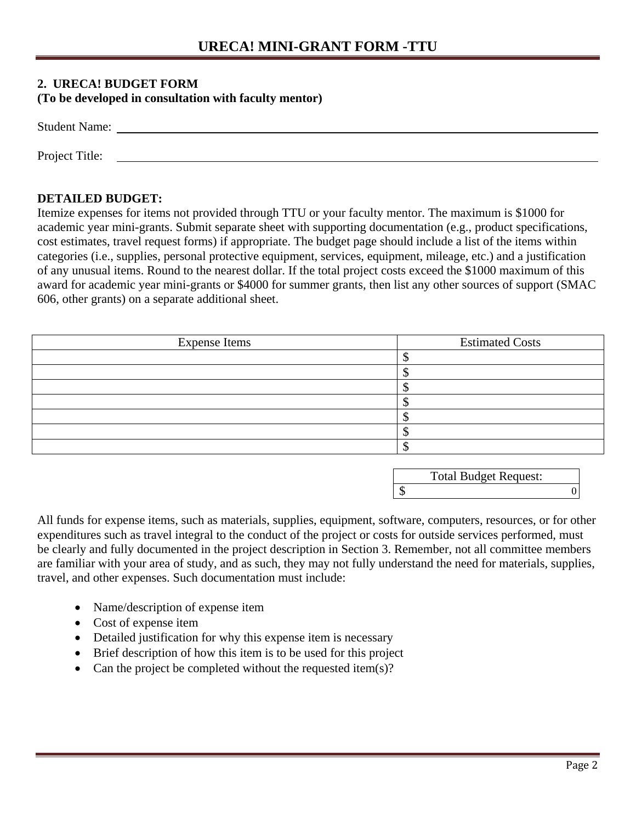### **2. URECA! BUDGET FORM**

#### **(To be developed in consultation with faculty mentor)**

| <b>Student Name:</b> |  |  |
|----------------------|--|--|
|                      |  |  |
| Project Title:       |  |  |

### **DETAILED BUDGET:**

Itemize expenses for items not provided through TTU or your faculty mentor. The maximum is \$1000 for academic year mini-grants. Submit separate sheet with supporting documentation (e.g., product specifications, cost estimates, travel request forms) if appropriate. The budget page should include a list of the items within categories (i.e., supplies, personal protective equipment, services, equipment, mileage, etc.) and a justification of any unusual items. Round to the nearest dollar. If the total project costs exceed the \$1000 maximum of this award for academic year mini-grants or \$4000 for summer grants, then list any other sources of support (SMAC 606, other grants) on a separate additional sheet.

| <b>Expense Items</b> | <b>Estimated Costs</b> |
|----------------------|------------------------|
|                      |                        |
|                      |                        |
|                      |                        |
|                      |                        |
|                      |                        |
|                      |                        |
|                      |                        |

| <b>Total Budget Request:</b> |  |
|------------------------------|--|
|                              |  |

All funds for expense items, such as materials, supplies, equipment, software, computers, resources, or for other expenditures such as travel integral to the conduct of the project or costs for outside services performed, must be clearly and fully documented in the project description in Section 3. Remember, not all committee members are familiar with your area of study, and as such, they may not fully understand the need for materials, supplies, travel, and other expenses. Such documentation must include:

- Name/description of expense item
- Cost of expense item
- Detailed justification for why this expense item is necessary
- Brief description of how this item is to be used for this project
- Can the project be completed without the requested item(s)?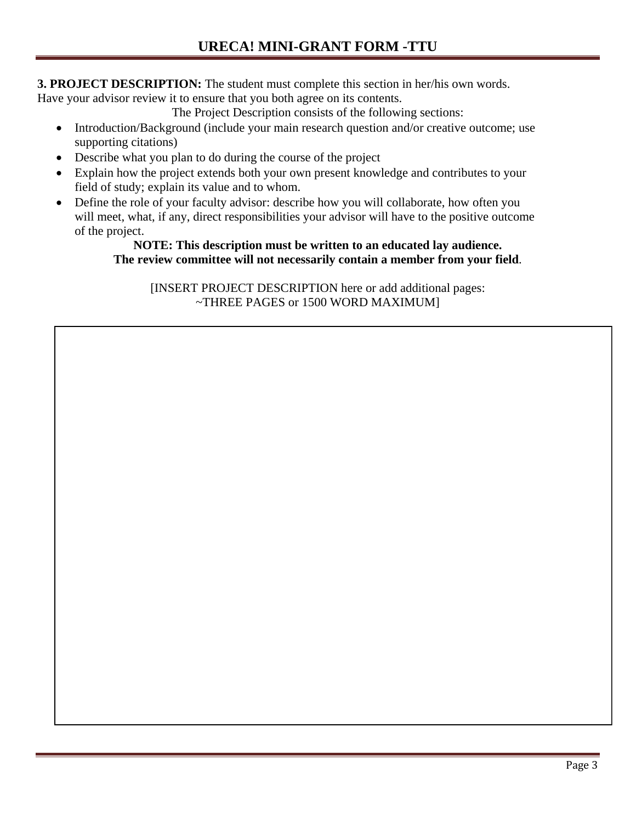**3. PROJECT DESCRIPTION:** The student must complete this section in her/his own words.

Have your advisor review it to ensure that you both agree on its contents.

The Project Description consists of the following sections:

- Introduction/Background (include your main research question and/or creative outcome; use supporting citations)
- Describe what you plan to do during the course of the project
- Explain how the project extends both your own present knowledge and contributes to your field of study; explain its value and to whom.
- Define the role of your faculty advisor: describe how you will collaborate, how often you will meet, what, if any, direct responsibilities your advisor will have to the positive outcome of the project.

### **NOTE: This description must be written to an educated lay audience. The review committee will not necessarily contain a member from your field**.

[INSERT PROJECT DESCRIPTION here or add additional pages: ~THREE PAGES or 1500 WORD MAXIMUM]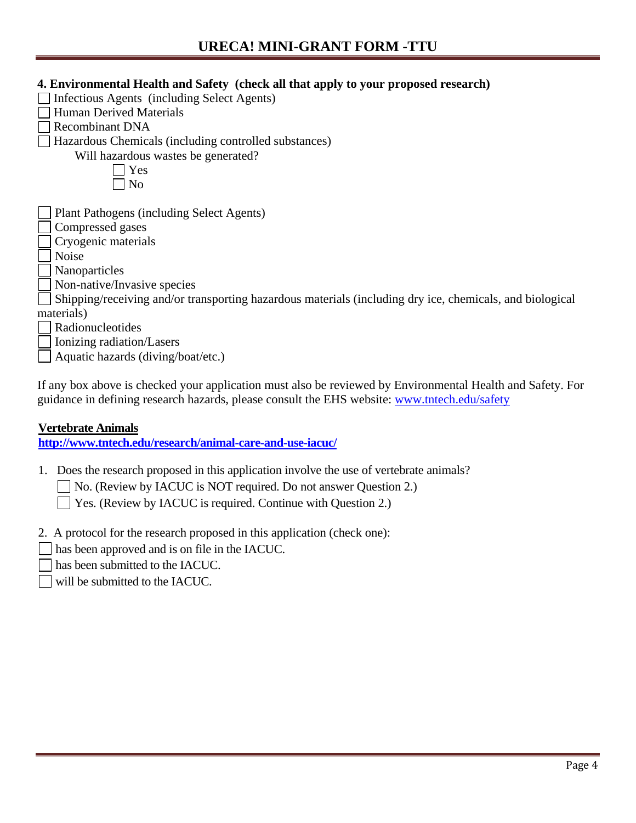## **URECA! MINI-GRANT FORM -TTU**

### **4. Environmental Health and Safety (check all that apply to your proposed research)**

- $\Box$  Infectious Agents (including Select Agents)
- $\Box$  Human Derived Materials
- Recombinant DNA

□ Hazardous Chemicals (including controlled substances)

Will hazardous wastes be generated?

 $\Box$  Yes  $\neg$  No

Plant Pathogens (including Select Agents)

Compressed gases

Cryogenic materials

- Noise
- Nanoparticles
- Non-native/Invasive species

Shipping/receiving and/or transporting hazardous materials (including dry ice, chemicals, and biological materials)

Radionucleotides

Ionizing radiation/Lasers

Aquatic hazards (diving/boat/etc.)

If any box above is checked your application must also be reviewed by Environmental Health and Safety. For guidance in defining research hazards, please consult the EHS website: [www.tntech.edu/safety](http://www.tntech.edu/safety)

### **Vertebrate Animals**

**<http://www.tntech.edu/research/animal-care-and-use-iacuc/>**

- 1. Does the research proposed in this application involve the use of vertebrate animals?
	- No. (Review by IACUC is NOT required. Do not answer Question 2.)

Yes. (Review by IACUC is required. Continue with Question 2.)

- 2. A protocol for the research proposed in this application (check one):
- has been approved and is on file in the IACUC.
- has been submitted to the IACUC.
- will be submitted to the IACUC.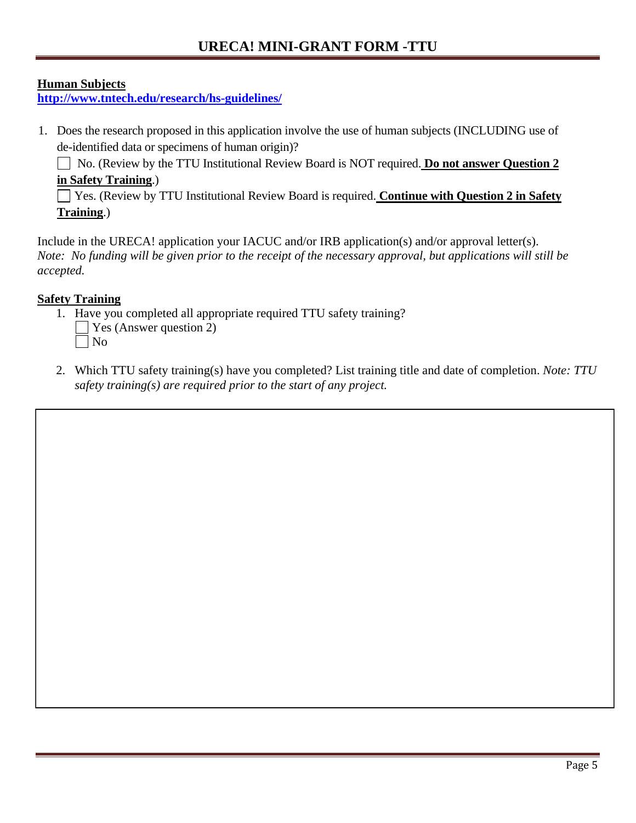# **URECA! MINI-GRANT FORM -TTU**

## **Human Subjects**

**<http://www.tntech.edu/research/hs-guidelines/>**

1. Does the research proposed in this application involve the use of human subjects (INCLUDING use of de-identified data or specimens of human origin)?

No. (Review by the TTU Institutional Review Board is NOT required. **Do not answer Question 2 in Safety Training**.)

Yes. (Review by TTU Institutional Review Board is required. **Continue with Question 2 in Safety Training**.)

Include in the URECA! application your IACUC and/or IRB application(s) and/or approval letter(s). *Note: No funding will be given prior to the receipt of the necessary approval, but applications will still be accepted.* 

## **Safety Training**

- 1. Have you completed all appropriate required TTU safety training? Yes (Answer question 2)
	- No
- 2. Which TTU safety training(s) have you completed? List training title and date of completion. *Note: TTU safety training(s) are required prior to the start of any project.*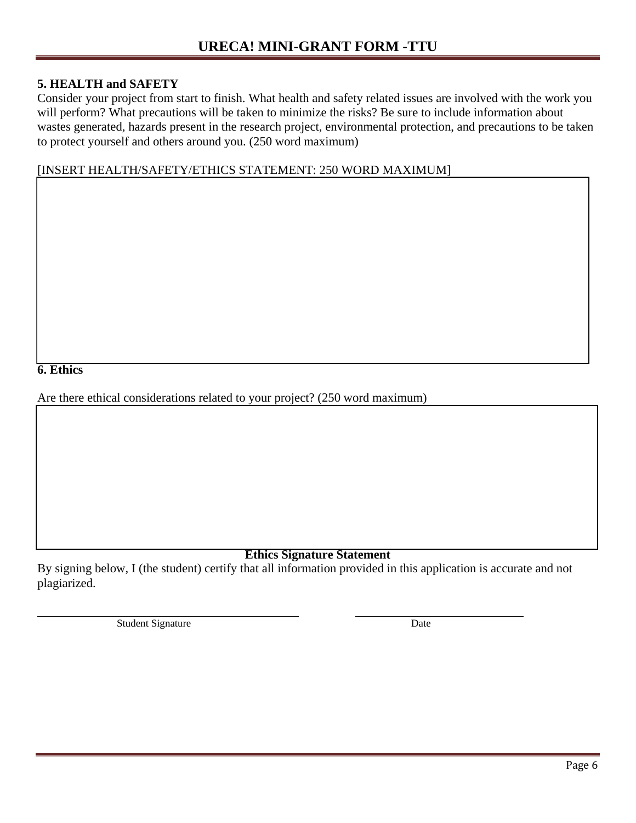#### **5. HEALTH and SAFETY**

Consider your project from start to finish. What health and safety related issues are involved with the work you will perform? What precautions will be taken to minimize the risks? Be sure to include information about wastes generated, hazards present in the research project, environmental protection, and precautions to be taken to protect yourself and others around you. (250 word maximum)

#### [INSERT HEALTH/SAFETY/ETHICS STATEMENT: 250 WORD MAXIMUM]

**6. Ethics**

Are there ethical considerations related to your project? (250 word maximum)

### **Ethics Signature Statement**

By signing below, I (the student) certify that all information provided in this application is accurate and not plagiarized.

Student Signature Date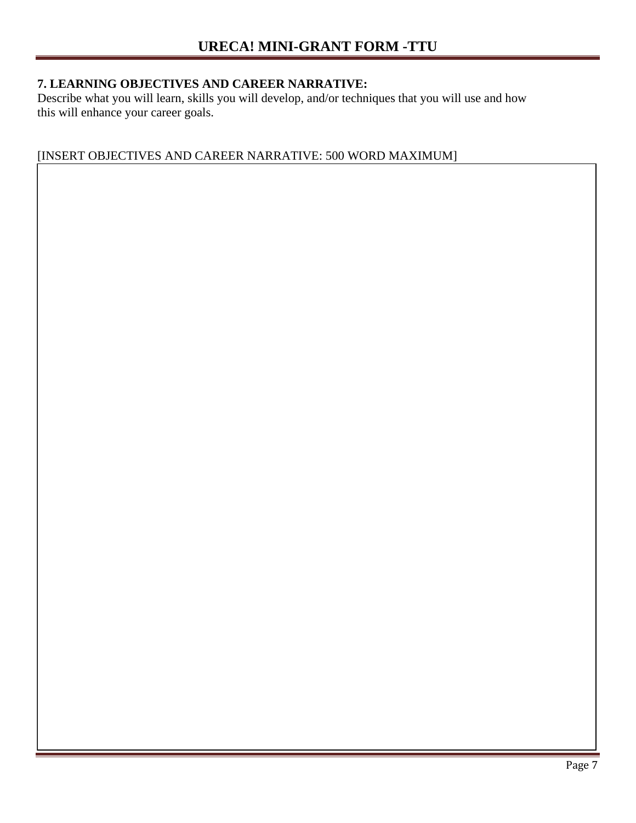## **7. LEARNING OBJECTIVES AND CAREER NARRATIVE:**

Describe what you will learn, skills you will develop, and/or techniques that you will use and how this will enhance your career goals.

## [INSERT OBJECTIVES AND CAREER NARRATIVE: 500 WORD MAXIMUM]